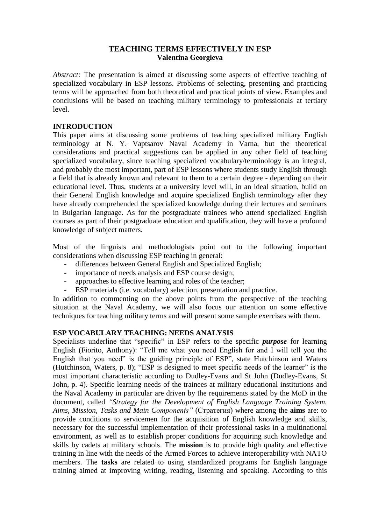# **TEACHING TERMS EFFECTIVELY IN ESP Valentina Georgieva**

*Abstract:* The presentation is aimed at discussing some aspects of effective teaching of specialized vocabulary in ESP lessons. Problems of selecting, presenting and practicing terms will be approached from both theoretical and practical points of view. Examples and conclusions will be based on teaching military terminology to professionals at tertiary level.

# **INTRODUCTION**

This paper aims at discussing some problems of teaching specialized military English terminology at N. Y. Vaptsarov Naval Academy in Varna, but the theoretical considerations and practical suggestions can be applied in any other field of teaching specialized vocabulary, since teaching specialized vocabulary/terminology is an integral, and probably the most important, part of ESP lessons where students study English through a field that is already known and relevant to them to a certain degree - depending on their educational level. Thus, students at a university level will, in an ideal situation, build on their General English knowledge and acquire specialized English terminology after they have already comprehended the specialized knowledge during their lectures and seminars in Bulgarian language. As for the postgraduate trainees who attend specialized English courses as part of their postgraduate education and qualification, they will have a profound knowledge of subject matters.

Most of the linguists and methodologists point out to the following important considerations when discussing ESP teaching in general:

- differences between General English and Specialized English;
- importance of needs analysis and ESP course design;
- approaches to effective learning and roles of the teacher;
- ESP materials (i.e. vocabulary) selection, presentation and practice.

In addition to commenting on the above points from the perspective of the teaching situation at the Naval Academy, we will also focus our attention on some effective techniques for teaching military terms and will present some sample exercises with them.

## **ESP VOCABULARY TEACHING: NEEDS ANALYSIS**

Specialists underline that "specific" in ESP refers to the specific *purpose* for learning English (Fiorito, Anthony): "Tell me what you need English for and I will tell you the English that you need" is the guiding principle of ESP", state Hutchinson and Waters (Hutchinson, Waters, p. 8); "ESP is designed to meet specific needs of the learner" is the most important characteristic according to Dudley-Evans and St John (Dudley-Evans, St John, p. 4). Specific learning needs of the trainees at military educational institutions and the Naval Academy in particular are driven by the requirements stated by the MoD in the document, called *"Strategy for the Development of English Language Training System. Aims, Mission, Tasks and Main Components"* (Стратегия) where among the **aims** are: to provide conditions to servicemen for the acquisition of English knowledge and skills, necessary for the successful implementation of their professional tasks in a multinational environment, as well as to establish proper conditions for acquiring such knowledge and skills by cadets at military schools. The **mission** is to provide high quality and effective training in line with the needs of the Armed Forces to achieve interoperability with NATO members. The **tasks** are related to using standardized programs for English language training aimed at improving writing, reading, listening and speaking. According to this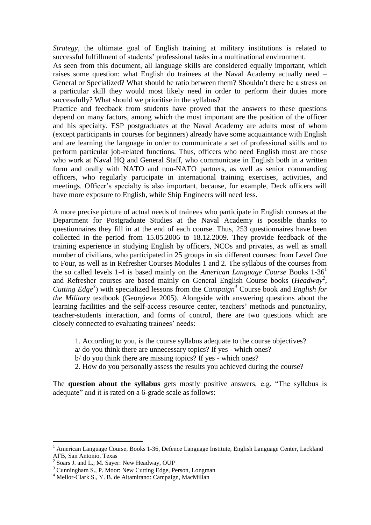*Strategy*, the ultimate goal of English training at military institutions is related to successful fulfillment of students' professional tasks in a multinational environment.

As seen from this document, all language skills are considered equally important, which raises some question: what English do trainees at the Naval Academy actually need – General or Specialized? What should be ratio between them? Shouldn"t there be a stress on a particular skill they would most likely need in order to perform their duties more successfully? What should we prioritise in the syllabus?

Practice and feedback from students have proved that the answers to these questions depend on many factors, among which the most important are the position of the officer and his specialty. ESP postgraduates at the Naval Academy are adults most of whom (except participants in courses for beginners) already have some acquaintance with English and are learning the language in order to communicate a set of professional skills and to perform particular job-related functions. Thus, officers who need English most are those who work at Naval HQ and General Staff, who communicate in English both in a written form and orally with NATO and non-NATO partners, as well as senior commanding officers, who regularly participate in international training exercises, activities, and meetings. Officer's specialty is also important, because, for example, Deck officers will have more exposure to English, while Ship Engineers will need less.

A more precise picture of actual needs of trainees who participate in English courses at the Department for Postgraduate Studies at the Naval Academy is possible thanks to questionnaires they fill in at the end of each course. Thus, 253 questionnaires have been collected in the period from 15.05.2006 to 18.12.2009. They provide feedback of the training experience in studying English by officers, NCOs and privates, as well as small number of civilians, who participated in 25 groups in six different courses: from Level One to Four, as well as in Refresher Courses Modules 1 and 2. The syllabus of the courses from the so called levels 1-4 is based mainly on the *American Language Course* Books 1-36<sup>1</sup> and Refresher courses are based mainly on General English Course books (*Headway<sup>2</sup>* , *Cutting Edge<sup>3</sup>* ) with specialized lessons from the *Campaign<sup>4</sup>* Course book and *English for the Military* textbook (Georgieva 2005). Alongside with answering questions about the learning facilities and the self-access resource center, teachers' methods and punctuality, teacher-students interaction, and forms of control, there are two questions which are closely connected to evaluating trainees' needs:

- 1. According to you, is the course syllabus adequate to the course objectives?
- a/ do you think there are unnecessary topics? If yes which ones?
- b/ do you think there are missing topics? If yes which ones?
- 2. How do you personally assess the results you achieved during the course?

The **question about the syllabus** gets mostly positive answers, e.g. "The syllabus is adequate" and it is rated on a 6-grade scale as follows:

 $\overline{a}$ 

<sup>&</sup>lt;sup>1</sup> American Language Course, Books 1-36, Defence Language Institute, English Language Center, Lackland AFB, San Antonio, Texas

<sup>&</sup>lt;sup>2</sup> Soars J. and L., M. Sayer: New Headway, OUP

<sup>3</sup> Cunningham S., P. Moor: New Cutting Edge, Person, Longman

<sup>4</sup> Mellor-Clark S., Y. B. de Altamirano: Campaign, MacMillan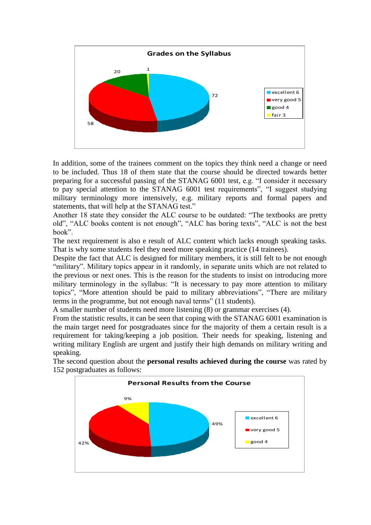

In addition, some of the trainees comment on the topics they think need a change or need to be included. Thus 18 of them state that the course should be directed towards better preparing for a successful passing of the STANAG 6001 test, e.g. "I consider it necessary to pay special attention to the STANAG 6001 test requirements", "I suggest studying military terminology more intensively, e.g. military reports and formal papers and statements, that will help at the STANAG test."

Another 18 state they consider the ALC course to be outdated: "The textbooks are pretty old", "ALC books content is not enough", "ALC has boring texts", "ALC is not the best book".

The next requirement is also e result of ALC content which lacks enough speaking tasks. That is why some students feel they need more speaking practice (14 trainees).

Despite the fact that ALC is designed for military members, it is still felt to be not enough "military". Military topics appear in it randomly, in separate units which are not related to the previous or next ones. This is the reason for the students to insist on introducing more military terminology in the syllabus: "It is necessary to pay more attention to military topics", "More attention should be paid to military abbreviations", "There are military terms in the programme, but not enough naval terms" (11 students).

A smaller number of students need more listening (8) or grammar exercises (4).

From the statistic results, it can be seen that coping with the STANAG 6001 examination is the main target need for postgraduates since for the majority of them a certain result is a requirement for taking/keeping a job position. Their needs for speaking, listening and writing military English are urgent and justify their high demands on military writing and speaking.

The second question about the **personal results achieved during the course** was rated by 152 postgraduates as follows:

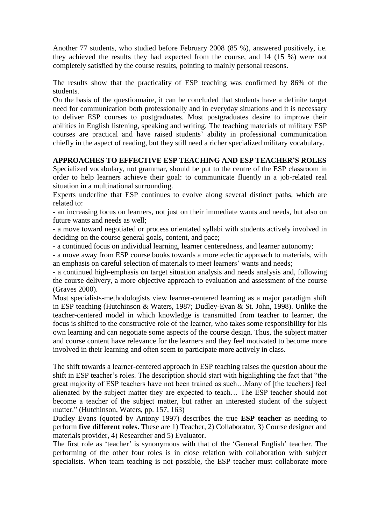Another 77 students, who studied before February 2008 (85 %), answered positively, i.e. they achieved the results they had expected from the course, and 14 (15 %) were not completely satisfied by the course results, pointing to mainly personal reasons.

The results show that the practicality of ESP teaching was confirmed by 86% of the students.

On the basis of the questionnaire, it can be concluded that students have a definite target need for communication both professionally and in everyday situations and it is necessary to deliver ESP courses to postgraduates. Most postgraduates desire to improve their abilities in English listening, speaking and writing. The teaching materials of military ESP courses are practical and have raised students" ability in professional communication chiefly in the aspect of reading, but they still need a richer specialized military vocabulary.

# **APPROACHES TO EFFECTIVE ESP TEACHING AND ESP TEACHER'S ROLES**

Specialized vocabulary, not grammar, should be put to the centre of the ESP classroom in order to help learners achieve their goal: to communicate fluently in a job-related real situation in a multinational surrounding.

Experts underline that ESP continues to evolve along several distinct paths, which are related to:

- an increasing focus on learners, not just on their immediate wants and needs, but also on future wants and needs as well;

- a move toward negotiated or process orientated syllabi with students actively involved in deciding on the course general goals, content, and pace;

- a continued focus on individual learning, learner centeredness, and learner autonomy;

- a move away from ESP course books towards a more eclectic approach to materials, with an emphasis on careful selection of materials to meet learners' wants and needs;

- a continued high-emphasis on target situation analysis and needs analysis and, following the course delivery, a more objective approach to evaluation and assessment of the course (Graves 2000).

Most specialists-methodologists view learner-centered learning as a major paradigm shift in ESP teaching (Hutchinson & Waters, 1987; Dudley-Evan & St. John, 1998). Unlike the teacher-centered model in which knowledge is transmitted from teacher to learner, the focus is shifted to the constructive role of the learner, who takes some responsibility for his own learning and can negotiate some aspects of the course design. Thus, the subject matter and course content have relevance for the learners and they feel motivated to become more involved in their learning and often seem to participate more actively in class.

The shift towards a learner-centered approach in ESP teaching raises the question about the shift in ESP teacher's roles. The description should start with highlighting the fact that "the great majority of ESP teachers have not been trained as such…Many of [the teachers] feel alienated by the subject matter they are expected to teach… The ESP teacher should not become a teacher of the subject matter, but rather an interested student of the subject matter." (Hutchinson, Waters, pp. 157, 163)

Dudley Evans (quoted by Antony 1997) describes the true **ESP teacher** as needing to perform **five different roles.** These are 1) Teacher, 2) Collaborator, 3) Course designer and materials provider, 4) Researcher and 5) Evaluator.

The first role as 'teacher' is synonymous with that of the 'General English' teacher. The performing of the other four roles is in close relation with collaboration with subject specialists. When team teaching is not possible, the ESP teacher must collaborate more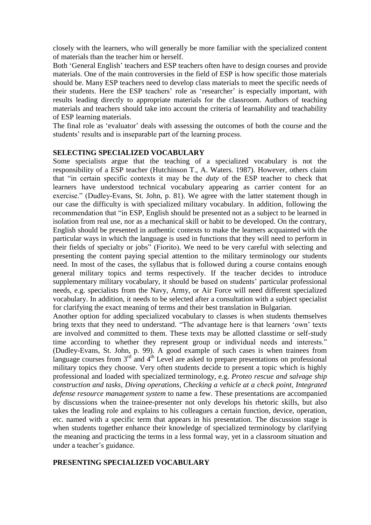closely with the learners, who will generally be more familiar with the specialized content of materials than the teacher him or herself.

Both "General English" teachers and ESP teachers often have to design courses and provide materials. One of the main controversies in the field of ESP is how specific those materials should be. Many ESP teachers need to develop class materials to meet the specific needs of their students. Here the ESP teachers' role as 'researcher' is especially important, with results leading directly to appropriate materials for the classroom. Authors of teaching materials and teachers should take into account the criteria of learnability and teachability of ESP learning materials.

The final role as 'evaluator' deals with assessing the outcomes of both the course and the students' results and is inseparable part of the learning process.

### **SELECTING SPECIALIZED VOCABULARY**

Some specialists argue that the teaching of a specialized vocabulary is not the responsibility of a ESP teacher (Hutchinson T., A. Waters. 1987). However, others claim that "in certain specific contexts it may be the *duty* of the ESP teacher to check that learners have understood technical vocabulary appearing as carrier content for an exercise." (Dudley-Evans, St. John, p. 81). We agree with the latter statement though in our case the difficulty is with specialized military vocabulary. In addition, following the recommendation that "in ESP, English should be presented not as a subject to be learned in isolation from real use, nor as a mechanical skill or habit to be developed. On the contrary, English should be presented in authentic contexts to make the learners acquainted with the particular ways in which the language is used in functions that they will need to perform in their fields of specialty or jobs" (Fiorito). We need to be very careful with selecting and presenting the content paying special attention to the military terminology our students need. In most of the cases, the syllabus that is followed during a course contains enough general military topics and terms respectively. If the teacher decides to introduce supplementary military vocabulary, it should be based on students" particular professional needs, e.g. specialists from the Navy, Army, or Air Force will need different specialized vocabulary. In addition, it needs to be selected after a consultation with a subject specialist for clarifying the exact meaning of terms and their best translation in Bulgarian.

Another option for adding specialized vocabulary to classes is when students themselves bring texts that they need to understand. "The advantage here is that learners "own" texts are involved and committed to them. These texts may be allotted classtime or self-study time according to whether they represent group or individual needs and interests." (Dudley-Evans, St. John, p. 99). A good example of such cases is when trainees from language courses from  $3<sup>rd</sup>$  and  $4<sup>th</sup>$  Level are asked to prepare presentations on professional military topics they choose. Very often students decide to present a topic which is highly professional and loaded with specialized terminology, e.g. *Proteo rescue and salvage ship construction and tasks*, *Diving operations*, *Checking a vehicle at a check point*, *Integrated defense resource management system* to name a few. These presentations are accompanied by discussions when the trainee-presenter not only develops his rhetoric skills, but also takes the leading role and explains to his colleagues a certain function, device, operation, etc. named with a specific term that appears in his presentation. The discussion stage is when students together enhance their knowledge of specialized terminology by clarifying the meaning and practicing the terms in a less formal way, yet in a classroom situation and under a teacher"s guidance.

### **PRESENTING SPECIALIZED VOCABULARY**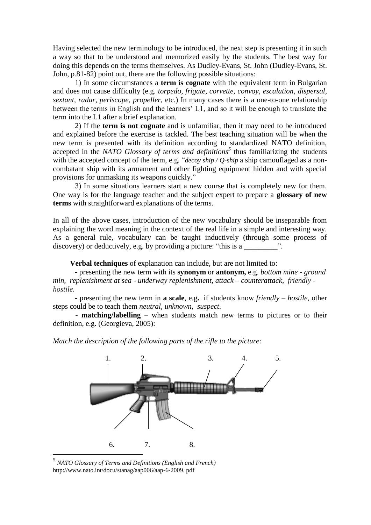Having selected the new terminology to be introduced, the next step is presenting it in such a way so that to be understood and memorized easily by the students. The best way for doing this depends on the terms themselves. As Dudley-Evans, St. John (Dudley-Evans, St. John, p.81-82) point out, there are the following possible situations:

1) In some circumstances a **term is cognate** with the equivalent term in Bulgarian and does not cause difficulty (e.g. *torpedo, frigate, corvette, convoy, escalation, dispersal, sextant, radar, periscope, propeller,* etc.) In many cases there is a one-to-one relationship between the terms in English and the learners' L1, and so it will be enough to translate the term into the L1 after a brief explanation.

2) If the **term is not cognate** and is unfamiliar, then it may need to be introduced and explained before the exercise is tackled. The best teaching situation will be when the new term is presented with its definition according to standardized NATO definition, accepted in the *NATO Glossary of terms and definitions<sup>5</sup>* thus familiarizing the students with the accepted concept of the term, e.g. "*decoy ship / Q-ship* a ship camouflaged as a noncombatant ship with its armament and other fighting equipment hidden and with special provisions for unmasking its weapons quickly."

3) In some situations learners start a new course that is completely new for them. One way is for the language teacher and the subject expert to prepare a **glossary of new terms** with straightforward explanations of the terms.

In all of the above cases, introduction of the new vocabulary should be inseparable from explaining the word meaning in the context of the real life in a simple and interesting way. As a general rule, vocabulary can be taught inductively (through some process of discovery) or deductively, e.g. by providing a picture: "this is a

**Verbal techniques** of explanation can include, but are not limited to:

**-** presenting the new term with its **synonym** or **antonym,** e.g. *bottom mine - ground min, replenishment at sea - underway replenishment, attack – counterattack, friendly hostile.*

**-** presenting the new term in **a scale**, e.g**.** if students know *friendly – hostile,* other steps could be to teach them *neutral, unknown, suspect*.

**- matching/labelling** – when students match new terms to pictures or to their definition, e.g. (Georgieva, 2005):

*Match the description of the following parts of the rifle to the picture:* 



5 *NATO Glossary of Terms and Definitions (English and French)* http://www.nato.int/docu/stanag/aap006/aap-6-2009. pdf

 $\overline{a}$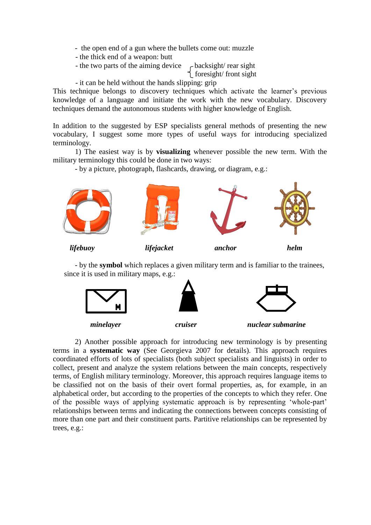- the open end of a gun where the bullets come out: muzzle
- the thick end of a weapon: butt
- the two parts of the aiming device  $\sim$  backsight/ rear sight

foresight/ front sight

- it can be held without the hands slipping: grip

This technique belongs to discovery techniques which activate the learner's previous knowledge of a language and initiate the work with the new vocabulary. Discovery techniques demand the autonomous students with higher knowledge of English.

In addition to the suggested by ESP specialists general methods of presenting the new vocabulary, I suggest some more types of useful ways for introducing specialized terminology.

1) The easiest way is by **visualizing** whenever possible the new term. With the military terminology this could be done in two ways:

- by a picture, photograph, flashcards, drawing, or diagram, e.g.:



 *lifebuoy lifejacket anchor helm*

- by the **symbol** which replaces a given military term and is familiar to the trainees, since it is used in military maps, e.g.:



2) Another possible approach for introducing new terminology is by presenting terms in a **systematic way** (See Georgieva 2007 for details). This approach requires coordinated efforts of lots of specialists (both subject specialists and linguists) in order to collect, present and analyze the system relations between the main concepts, respectively terms, of English military terminology. Moreover, this approach requires language items to be classified not on the basis of their overt formal properties, as, for example, in an alphabetical order, but according to the properties of the concepts to which they refer. One of the possible ways of applying systematic approach is by representing "whole-part" relationships between terms and indicating the connections between concepts consisting of more than one part and their constituent parts. Partitive relationships can be represented by trees, e.g.: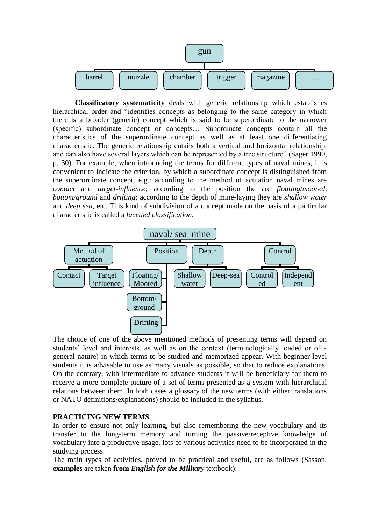

**Classificatory systematicity** deals with generic relationship which establishes hierarchical order and "identifies concepts as belonging to the same category in which there is a broader (generic) concept which is said to be superordinate to the narrower (specific) subordinate concept or concepts… Subordinate concepts contain all the characteristics of the superordinate concept as well as at least one differentiating characteristic. The generic relationship entails both a vertical and horizontal relationship, and can also have several layers which can be represented by a tree structure" (Sager 1990, p. 30). For example, when introducing the terms for different types of naval mines, it is convenient to indicate the criterion, by which a subordinate concept is distinguished from the superordinate concept, e.g.: according to the method of actuation naval mines are *contact* and *target-influence*; according to the position the are *floating*/*moored*, *bottom/ground* and *drifting*; according to the depth of mine-laying they are *shallow water* and *deep sea*, etc. This kind of subdivision of a concept made on the basis of a particular characteristic is called a *facetted classification*.



The choice of one of the above mentioned methods of presenting terms will depend on students" level and interests, as well as on the context (terminologically loaded or of a general nature) in which terms to be studied and memorized appear. With beginner-level students it is advisable to use as many visuals as possible, so that to reduce explanations. On the contrary, with intermediate to advance students it will be beneficiary for them to receive a more complete picture of a set of terms presented as a system with hierarchical relations between them. In both cases a glossary of the new terms (with either translations or NATO definitions/explanations) should be included in the syllabus.

## **PRACTICING NEW TERMS**

In order to ensure not only learning, but also remembering the new vocabulary and its transfer to the long-term memory and turning the passive/receptive knowledge of vocabulary into a productive usage, lots of various activities need to be incorporated in the studying process.

The main types of activities, proved to be practical and useful, are as follows (Sasson; **examples** are taken **from** *English for the Military* textbook):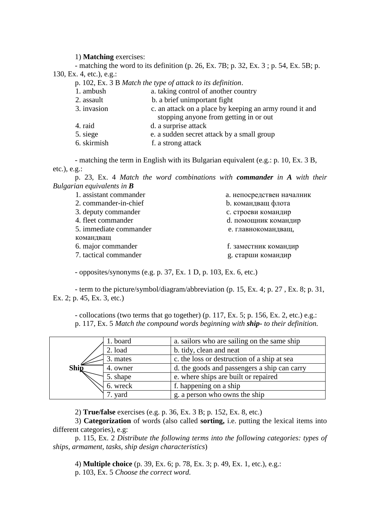#### 1) **Matching** exercises:

- matching the word to its definition (p. 26, Ex. 7B; p. 32, Ex. 3 ; p. 54, Ex. 5B; p. 130, Ex. 4, etc.), e.g.:

p. 102, Ex. 3 B *Match the type of attack to its definition*.

| 1. ambush   | a. taking control of another country                    |  |
|-------------|---------------------------------------------------------|--|
| 2. assault  | b. a brief unimportant fight                            |  |
| 3. invasion | c. an attack on a place by keeping an army round it and |  |
|             | stopping anyone from getting in or out                  |  |
| 4. raid     | d. a surprise attack                                    |  |
| 5. siege    | e. a sudden secret attack by a small group              |  |
| 6. skirmish | f. a strong attack                                      |  |
|             |                                                         |  |

- matching the term in English with its Bulgarian equivalent (e.g.: p. 10, Ex. 3 B, etc.), e.g.:

p. 23, Ex. 4 *Match the word combinations with commander in A with their Bulgarian equivalents in B*

| 1. assistant commander | а. непосредствен началник |
|------------------------|---------------------------|
| 2. commander-in-chief  | <b>b.</b> командващ флота |
| 3. deputy commander    | с. строеви командир       |
| 4. fleet commander     | d. помощник командир      |
| 5. immediate commander | е. главнокомандващ,       |
| командващ              |                           |
| 6. major commander     | f. заместник командир     |
| 7. tactical commander  | g. старши командир        |

- opposites/synonyms (e.g. p. 37, Ex. 1 D, p. 103, Ex. 6, etc.)

- term to the picture/symbol/diagram/abbreviation (p. 15, Ex. 4; p. 27 , Ex. 8; p. 31, Ex. 2; p. 45, Ex. 3, etc.)

- collocations (two terms that go together) (p. 117, Ex. 5; p. 156, Ex. 2, etc.) e.g.: p. 117, Ex. 5 *Match the compound words beginning with ship- to their definition.*

| $Shi\bar{p}$ | 1. board | a. sailors who are sailing on the same ship  |
|--------------|----------|----------------------------------------------|
|              | 2. load  | b. tidy, clean and neat                      |
|              | 3. mates | c. the loss or destruction of a ship at sea  |
|              | 4. owner | d. the goods and passengers a ship can carry |
|              | 5. shape | e. where ships are built or repaired         |
|              | 6. wreck | f. happening on a ship                       |
|              | 7. yard  | g. a person who owns the ship                |

2) **True/false** exercises (e.g. p. 36, Ex. 3 B; p. 152, Ex. 8, etc.)

3) **Categorization** of words (also called **sorting,** i.e. putting the lexical items into different categories), e.g:

p. 115, Ex. 2 *Distribute the following terms into the following categories: types of ships, armament, tasks, ship design characteristics*)

4) **Multiple choice** (p. 39, Ex. 6; p. 78, Ex. 3; p. 49, Ex. 1, etc.), e.g.:

p. 103, Ex. 5 *Choose the correct word.*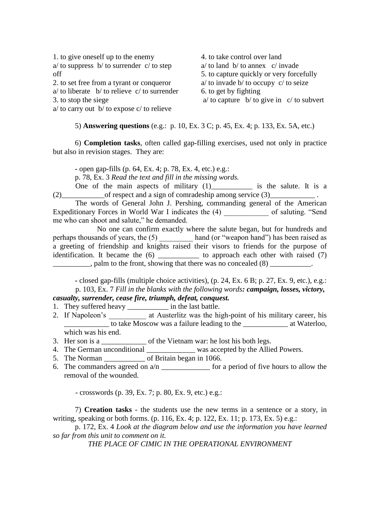1. to give oneself up to the enemy  $a$  to suppress b to surrender c to step off 2. to set free from a tyrant or conqueror

- a/ to liberate b/ to relieve c/ to surrender
- 3. to stop the siege

a/ to carry out b/ to expose c/ to relieve

4. to take control over land  $a$  to land b to annex c invade 5. to capture quickly or very forcefully a/ to invade b/ to occupy c/ to seize 6. to get by fighting  $a$  to capture b to give in c to subvert

5) **Answering questions** (e.g.: p. 10, Ex. 3 C; p. 45, Ex. 4; p. 133, Ex. 5A, etc.)

6) **Completion tasks**, often called gap-filling exercises, used not only in practice but also in revision stages. They are:

**-** open gap-fills (p. 64, Ex. 4; p. 78, Ex. 4, etc.) e.g.:

p. 78, Ex. 3 *Read the text and fill in the missing words.*

One of the main aspects of military  $(1)$  is the salute. It is a (2) of respect and a sign of comradeship among service  $(3)$ 

The words of General John J. Pershing, commanding general of the American Expeditionary Forces in World War I indicates the (4) \_\_\_\_\_\_\_\_\_\_\_\_ of saluting. "Send me who can shoot and salute," he demanded.

No one can confirm exactly where the salute began, but for hundreds and perhaps thousands of years, the (5) \_\_\_\_\_\_\_\_\_\_\_ hand (or "weapon hand") has been raised as a greeting of friendship and knights raised their visors to friends for the purpose of identification. It became the  $(6)$  \_\_\_\_\_\_\_\_\_\_\_\_ to approach each other with raised  $(7)$  $\Box$ , palm to the front, showing that there was no concealed (8)  $\Box$ 

**-** closed gap-fills (multiple choice activities), (p. 24, Ex. 6 B; p. 27, Ex. 9, etc.), e.g.: p. 103, Ex. 7 *Fill in the blanks with the following words: campaign, losses, victory, casualty, surrender, cease fire, triumph, defeat, conquest.* 

- 1. They suffered heavy \_\_\_\_\_\_\_\_\_\_\_\_\_ in the last battle.
- 2. If Napoleon's at Austerlitz was the high-point of his military career, his \_\_\_\_\_\_\_\_\_\_\_\_ to take Moscow was a failure leading to the \_\_\_\_\_\_\_\_\_\_\_\_ at Waterloo, which was his end.
- 3. Her son is a set of the Vietnam war: he lost his both legs.
- 4. The German unconditional \_\_\_\_\_\_\_\_\_\_\_\_\_\_ was accepted by the Allied Powers.
- 5. The Norman of Britain began in 1066.
- 6. The commanders agreed on  $a/n$  \_\_\_\_\_\_\_\_\_\_\_\_\_\_\_ for a period of five hours to allow the removal of the wounded.

- crosswords (p. 39, Ex. 7; p. 80, Ex. 9, etc.) e.g.:

7) **Creation tasks** - the students use the new terms in a sentence or a story, in writing, speaking or both forms. (p. 116, Ex. 4; p. 122, Ex. 11; p. 173, Ex. 5) e.g.:

p. 172, Ex. 4 *Look at the diagram below and use the information you have learned so far from this unit to comment on it.*

*THE PLACE OF CIMIC IN THE OPERATIONAL ENVIRONMENT*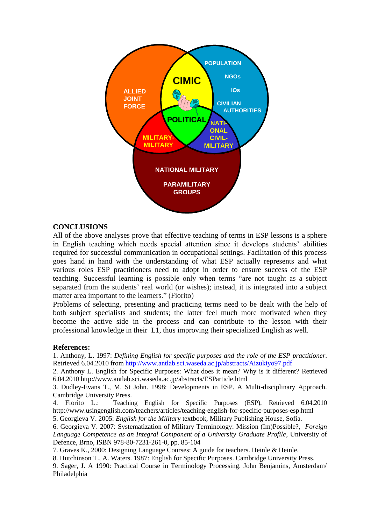

### **CONCLUSIONS**

All of the above analyses prove that effective teaching of terms in ESP lessons is a sphere in English teaching which needs special attention since it develops students" abilities required for successful communication in occupational settings. Facilitation of this process goes hand in hand with the understanding of what ESP actually represents and what various roles ESP practitioners need to adopt in order to ensure success of the ESP teaching. Successful learning is possible only when terms "are not taught as a subject separated from the students' real world (or wishes); instead, it is integrated into a subject matter area important to the learners." (Fiorito)

Problems of selecting, presenting and practicing terms need to be dealt with the help of both subject specialists and students; the latter feel much more motivated when they become the active side in the process and can contribute to the lesson with their professional knowledge in their L1, thus improving their specialized English as well.

#### **References:**

1. Anthony, L. 1997: *Defining English for specific purposes and the role of the ESP practitioner*. Retrieved 6.04.2010 from http://www.antlab.sci.waseda.ac.jp/abstracts/Aizukiyo97.pdf

2. Anthony L. English for Specific Purposes: What does it mean? Why is it different? Retrieved 6.04.2010 http://www.antlab.sci.waseda.ac.jp/abstracts/ESParticle.html

3. Dudley-Evans T., M. St John. 1998: Developments in ESP. A Multi-disciplinary Approach. Cambridge University Press.

4. Fiorito L.: Teaching English for Specific Purposes (ESP), Retrieved 6.04.2010 http://www.usingenglish.com/teachers/articles/teaching-english-for-specific-purposes-esp.html

5. Georgieva V. 2005: *English for the Military* textbook, Military Publishing House, Sofia.

6. Georgieva V. 2007: Systematization of Military Terminology: Mission (Im)Possible?, *Foreign Language Competence as an Integral Component of a University Graduate Profile*, University of Defence, Brno, ISBN 978-80-7231-261-0, pp. 85-104

7. Graves K., 2000: Designing Language Courses: A guide for teachers. Heinle & Heinle.

8. Hutchinson T., A. Waters. 1987: English for Specific Purposes. Cambridge University Press.

9. Sager, J. A 1990: Practical Course in Terminology Processing. John Benjamins, Amsterdam/ Philadelphia